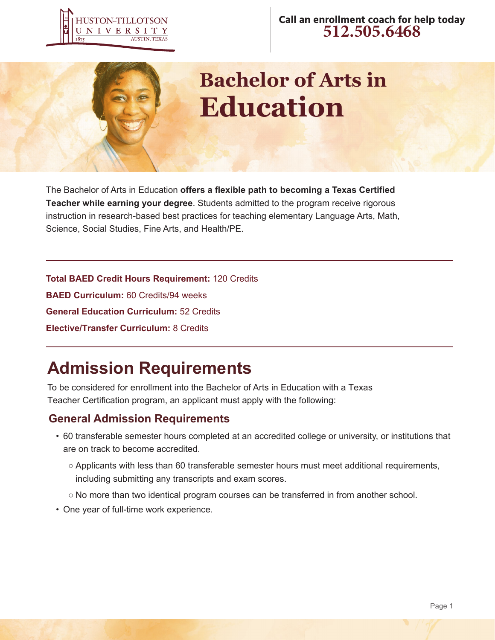



# **Bachelor of Arts in Education**

The Bachelor of Arts in Education **offers a flexible path to becoming a Texas Certified Teacher while earning your degree**. Students admitted to the program receive rigorous instruction in research-based best practices for teaching elementary Language Arts, Math, Science, Social Studies, Fine Arts, and Health/PE.

**Total BAED Credit Hours Requirement:** 120 Credits **BAED Curriculum:** 60 Credits/94 weeks **General Education Curriculum:** 52 Credits **Elective/Transfer Curriculum:** 8 Credits

# **Admission Requirements**

To be considered for enrollment into the Bachelor of Arts in Education with a Texas Teacher Certification program, an applicant must apply with the following:

### **General Admission Requirements**

- 60 transferable semester hours completed at an accredited college or university, or institutions that are on track to become accredited.
	- Applicants with less than 60 transferable semester hours must meet additional requirements, including submitting any transcripts and exam scores.
	- No more than two identical program courses can be transferred in from another school.
- One year of full-time work experience.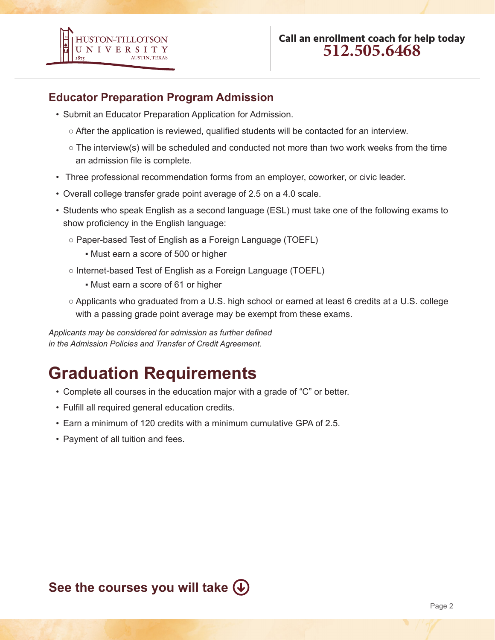

### **Educator Preparation Program Admission**

- Submit an Educator Preparation Application for Admission.
	- After the application is reviewed, qualified students will be contacted for an interview.
	- $\circ$  The interview(s) will be scheduled and conducted not more than two work weeks from the time an admission file is complete.
- Three professional recommendation forms from an employer, coworker, or civic leader.
- Overall college transfer grade point average of 2.5 on a 4.0 scale.
- Students who speak English as a second language (ESL) must take one of the following exams to show proficiency in the English language:
	- Paper-based Test of English as a Foreign Language (TOEFL)
		- **.** Must earn a score of 500 or higher
	- Internet-based Test of English as a Foreign Language (TOEFL)
		- Must earn a score of 61 or higher
	- Applicants who graduated from a U.S. high school or earned at least 6 credits at a U.S. college with a passing grade point average may be exempt from these exams.

*Applicants may be considered for admission as further defined in the Admission Policies and Transfer of Credit Agreement.*

# **Graduation Requirements**

- Complete all courses in the education major with a grade of "C" or better.
- Fulfill all required general education credits.
- Earn a minimum of 120 credits with a minimum cumulative GPA of 2.5.
- Payment of all tuition and fees.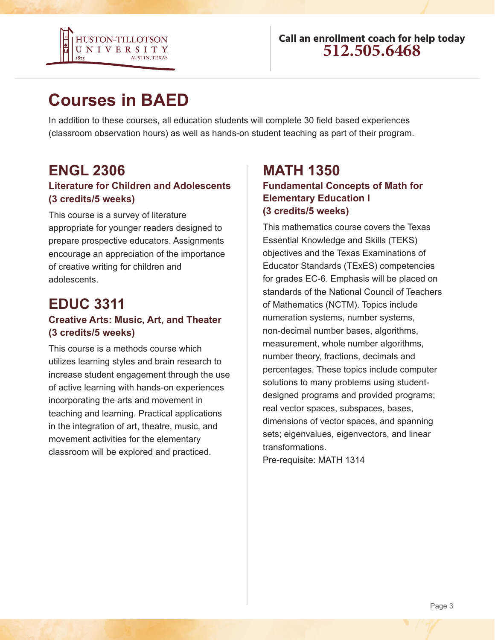

# **Courses in BAED**

In addition to these courses, all education students will complete 30 field based experiences (classroom observation hours) as well as hands-on student teaching as part of their program.

### **ENGL 2306 Literature for Children and Adolescents (3 credits/5 weeks)**

This course is a survey of literature appropriate for younger readers designed to prepare prospective educators. Assignments encourage an appreciation of the importance of creative writing for children and adolescents.

### **EDUC 3311**

#### **Creative Arts: Music, Art, and Theater (3 credits/5 weeks)**

This course is a methods course which utilizes learning styles and brain research to increase student engagement through the use of active learning with hands-on experiences incorporating the arts and movement in teaching and learning. Practical applications in the integration of art, theatre, music, and movement activities for the elementary classroom will be explored and practiced.

### **MATH 1350 Fundamental Concepts of Math for Elementary Education I (3 credits/5 weeks)**

This mathematics course covers the Texas Essential Knowledge and Skills (TEKS) objectives and the Texas Examinations of Educator Standards (TExES) competencies for grades EC-6. Emphasis will be placed on standards of the National Council of Teachers of Mathematics (NCTM). Topics include numeration systems, number systems, non-decimal number bases, algorithms, measurement, whole number algorithms, number theory, fractions, decimals and percentages. These topics include computer solutions to many problems using studentdesigned programs and provided programs; real vector spaces, subspaces, bases, dimensions of vector spaces, and spanning sets; eigenvalues, eigenvectors, and linear transformations.

Pre-requisite: MATH 1314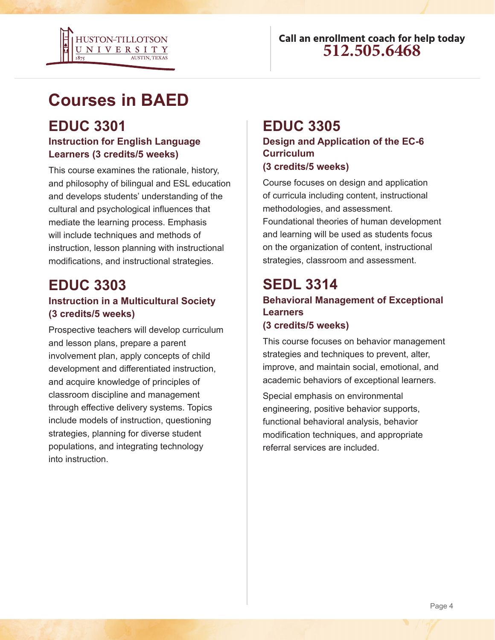

# **Courses in BAED**

### **EDUC 3301 Instruction for English Language Learners (3 credits/5 weeks)**

This course examines the rationale, history, and philosophy of bilingual and ESL education and develops students' understanding of the cultural and psychological influences that mediate the learning process. Emphasis will include techniques and methods of instruction, lesson planning with instructional modifications, and instructional strategies.

### **EDUC 3303 Instruction in a Multicultural Society (3 credits/5 weeks)**

Prospective teachers will develop curriculum and lesson plans, prepare a parent involvement plan, apply concepts of child development and differentiated instruction, and acquire knowledge of principles of classroom discipline and management through effective delivery systems. Topics include models of instruction, questioning strategies, planning for diverse student populations, and integrating technology into instruction.

### **EDUC 3305**

**Design and Application of the EC-6 Curriculum (3 credits/5 weeks)**

Course focuses on design and application of curricula including content, instructional methodologies, and assessment. Foundational theories of human development and learning will be used as students focus on the organization of content, instructional strategies, classroom and assessment.

### **SEDL 3314 Behavioral Management of Exceptional Learners (3 credits/5 weeks)**

This course focuses on behavior management strategies and techniques to prevent, alter, improve, and maintain social, emotional, and academic behaviors of exceptional learners.

Special emphasis on environmental engineering, positive behavior supports, functional behavioral analysis, behavior modification techniques, and appropriate referral services are included.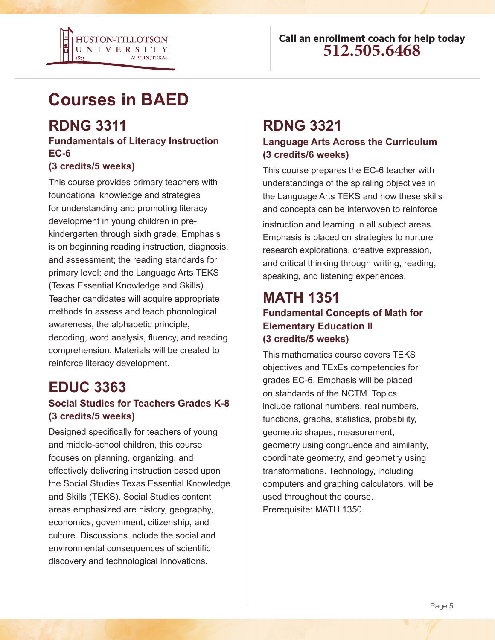

# **Courses in BAED**

### **RDNG 3311**

#### **Fundamentals of Literacy Instruction EC-6**

#### **(3 credits/5 weeks)**

This course provides primary teachers with foundational knowledge and strategies for understanding and promoting literacy development in young children in prekindergarten through sixth grade. Emphasis is on beginning reading instruction, diagnosis, and assessment; the reading standards for primary level; and the Language Arts TEKS (Texas Essential Knowledge and Skills). Teacher candidates will acquire appropriate methods to assess and teach phonological awareness, the alphabetic principle, decoding, word analysis, fluency, and reading comprehension. Materials will be created to reinforce literacy development.

### **EDUC 3363**

### **Social Studies for Teachers Grades K-8 (3 credits/5 weeks)**

Designed specifically for teachers of young and middle-school children, this course focuses on planning, organizing, and effectively delivering instruction based upon the Social Studies Texas Essential Knowledge and Skills (TEKS). Social Studies content areas emphasized are history, geography, economics, government, citizenship, and culture. Discussions include the social and environmental consequences of scientific discovery and technological innovations.

### **RDNG 3321**

#### **Language Arts Across the Curriculum (3 credits/6 weeks)**

This course prepares the EC-6 teacher with understandings of the spiraling objectives in the Language Arts TEKS and how these skills and concepts can be interwoven to reinforce instruction and learning in all subject areas. Emphasis is placed on strategies to nurture research explorations, creative expression, and critical thinking through writing, reading, speaking, and listening experiences.

### **MATH 1351 Fundamental Concepts of Math for Elementary Education II (3 credits/5 weeks)**

This mathematics course covers TEKS objectives and TExEs competencies for grades EC-6. Emphasis will be placed on standards of the NCTM. Topics include rational numbers, real numbers, functions, graphs, statistics, probability, geometric shapes, measurement, geometry using congruence and similarity, coordinate geometry, and geometry using transformations. Technology, including computers and graphing calculators, will be used throughout the course. Prerequisite: MATH 1350.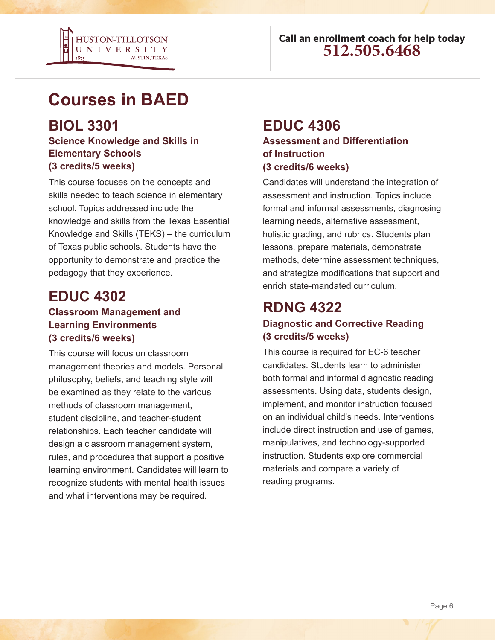

# **Courses in BAED**

### **BIOL 3301**

#### **Science Knowledge and Skills in Elementary Schools (3 credits/5 weeks)**

This course focuses on the concepts and skills needed to teach science in elementary school. Topics addressed include the knowledge and skills from the Texas Essential Knowledge and Skills (TEKS) – the curriculum of Texas public schools. Students have the opportunity to demonstrate and practice the pedagogy that they experience.

# **EDUC 4302**

#### **Classroom Management and Learning Environments (3 credits/6 weeks)**

This course will focus on classroom management theories and models. Personal philosophy, beliefs, and teaching style will be examined as they relate to the various methods of classroom management, student discipline, and teacher-student relationships. Each teacher candidate will design a classroom management system, rules, and procedures that support a positive learning environment. Candidates will learn to recognize students with mental health issues and what interventions may be required.

### **EDUC 4306**

#### **Assessment and Differentiation of Instruction (3 credits/6 weeks)**

Candidates will understand the integration of assessment and instruction. Topics include formal and informal assessments, diagnosing learning needs, alternative assessment, holistic grading, and rubrics. Students plan lessons, prepare materials, demonstrate methods, determine assessment techniques, and strategize modifications that support and enrich state-mandated curriculum.

# **RDNG 4322**

### **Diagnostic and Corrective Reading (3 credits/5 weeks)**

This course is required for EC-6 teacher candidates. Students learn to administer both formal and informal diagnostic reading assessments. Using data, students design, implement, and monitor instruction focused on an individual child's needs. Interventions include direct instruction and use of games, manipulatives, and technology-supported instruction. Students explore commercial materials and compare a variety of reading programs.